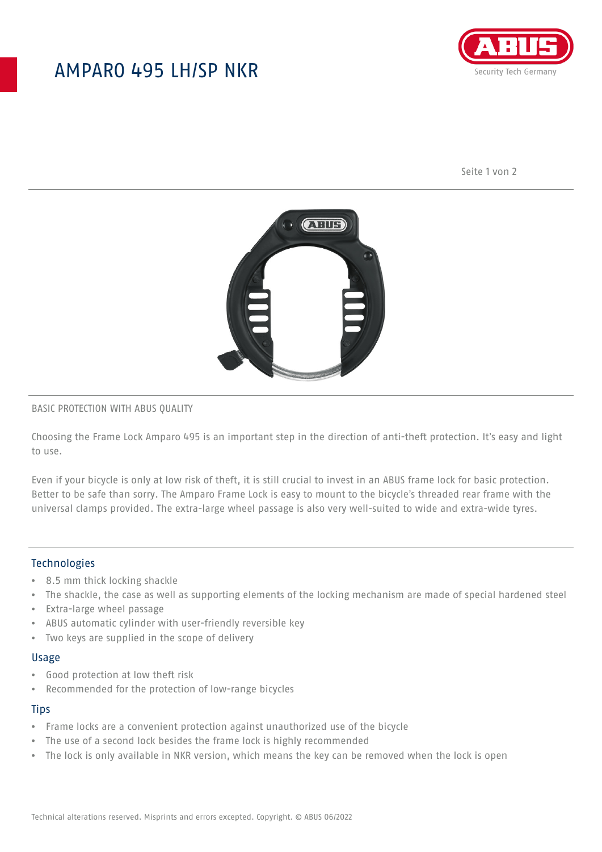## AMPARO 495 LH/SP NKR



Seite 1 von 2



#### BASIC PROTECTION WITH ABUS QUALITY

Choosing the Frame Lock Amparo 495 is an important step in the direction of anti-theft protection. It's easy and light to use.

Even if your bicycle is only at low risk of theft, it is still crucial to invest in an ABUS frame lock for basic protection. Better to be safe than sorry. The Amparo Frame Lock is easy to mount to the bicycle's threaded rear frame with the universal clamps provided. The extra-large wheel passage is also very well-suited to wide and extra-wide tyres.

#### **Technologies**

- 8.5 mm thick locking shackle
- The shackle, the case as well as supporting elements of the locking mechanism are made of special hardened steel
- Extra-large wheel passage
- ABUS automatic cylinder with user-friendly reversible key
- Two keys are supplied in the scope of delivery

#### Usage

- Good protection at low theft risk
- Recommended for the protection of low-range bicycles

## **Tips**

- Frame locks are a convenient protection against unauthorized use of the bicycle
- The use of a second lock besides the frame lock is highly recommended
- The lock is only available in NKR version, which means the key can be removed when the lock is open